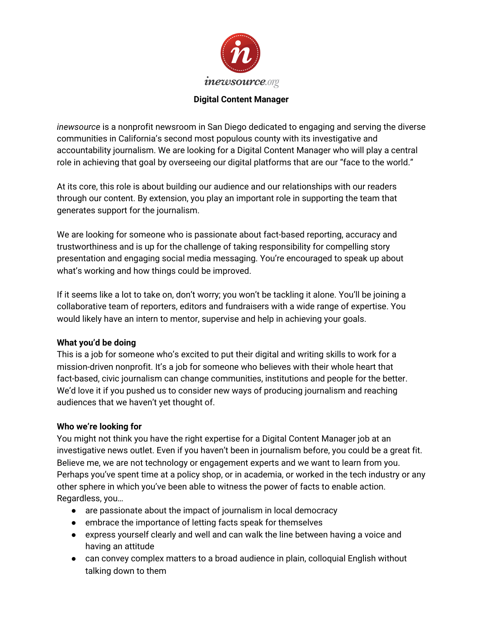

#### **Digital Content Manager**

*inewsource* is a nonprofit newsroom in San Diego dedicated to engaging and serving the diverse communities in California's second most populous county with its investigative and accountability journalism. We are looking for a Digital Content Manager who will play a central role in achieving that goal by overseeing our digital platforms that are our "face to the world."

At its core, this role is about building our audience and our relationships with our readers through our content. By extension, you play an important role in supporting the team that generates support for the journalism.

We are looking for someone who is passionate about fact-based reporting, accuracy and trustworthiness and is up for the challenge of taking responsibility for compelling story presentation and engaging social media messaging. You're encouraged to speak up about what's working and how things could be improved.

If it seems like a lot to take on, don't worry; you won't be tackling it alone. You'll be joining a collaborative team of reporters, editors and fundraisers with a wide range of expertise. You would likely have an intern to mentor, supervise and help in achieving your goals.

## **What you'd be doing**

This is a job for someone who's excited to put their digital and writing skills to work for a mission-driven nonprofit. It's a job for someone who believes with their whole heart that fact-based, civic journalism can change communities, institutions and people for the better. We'd love it if you pushed us to consider new ways of producing journalism and reaching audiences that we haven't yet thought of.

#### **Who we're looking for**

You might not think you have the right expertise for a Digital Content Manager job at an investigative news outlet. Even if you haven't been in journalism before, you could be a great fit. Believe me, we are not technology or engagement experts and we want to learn from you. Perhaps you've spent time at a policy shop, or in academia, or worked in the tech industry or any other sphere in which you've been able to witness the power of facts to enable action. Regardless, you…

- are passionate about the impact of journalism in local democracy
- embrace the importance of letting facts speak for themselves
- express yourself clearly and well and can walk the line between having a voice and having an attitude
- can convey complex matters to a broad audience in plain, colloquial English without talking down to them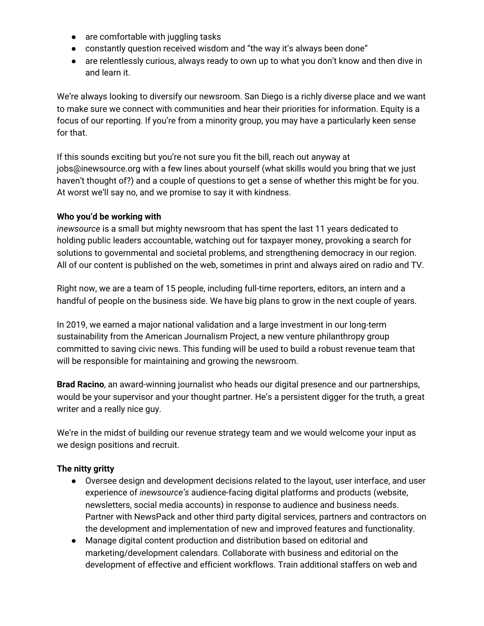- are comfortable with juggling tasks
- constantly question received wisdom and "the way it's always been done"
- are relentlessly curious, always ready to own up to what you don't know and then dive in and learn it.

We're always looking to diversify our newsroom. San Diego is a richly diverse place and we want to make sure we connect with communities and hear their priorities for information. Equity is a focus of our reporting. If you're from a minority group, you may have a particularly keen sense for that.

If this sounds exciting but you're not sure you fit the bill, reach out anyway at jobs@inewsource.org with a few lines about yourself (what skills would you bring that we just haven't thought of?) and a couple of questions to get a sense of whether this might be for you. At worst we'll say no, and we promise to say it with kindness.

## **Who you'd be working with**

*inewsource* is a small but mighty newsroom that has spent the last 11 years dedicated to holding public leaders accountable, watching out for taxpayer money, provoking a search for solutions to governmental and societal problems, and strengthening democracy in our region. All of our content is published on the web, sometimes in print and always aired on radio and TV.

Right now, we are a team of 15 people, including full-time reporters, editors, an intern and a handful of people on the business side. We have big plans to grow in the next couple of years.

In 2019, we earned a major national validation and a large investment in our long-term sustainability from the American Journalism Project, a new venture philanthropy group committed to saving civic news. This funding will be used to build a robust revenue team that will be responsible for maintaining and growing the newsroom.

**Brad Racino**, an award-winning journalist who heads our digital presence and our partnerships, would be your supervisor and your thought partner. He's a persistent digger for the truth, a great writer and a really nice guy.

We're in the midst of building our revenue strategy team and we would welcome your input as we design positions and recruit.

# **The nitty gritty**

- Oversee design and development decisions related to the layout, user interface, and user experience of *inewsource's* audience-facing digital platforms and products (website, newsletters, social media accounts) in response to audience and business needs. Partner with NewsPack and other third party digital services, partners and contractors on the development and implementation of new and improved features and functionality.
- Manage digital content production and distribution based on editorial and marketing/development calendars. Collaborate with business and editorial on the development of effective and efficient workflows. Train additional staffers on web and